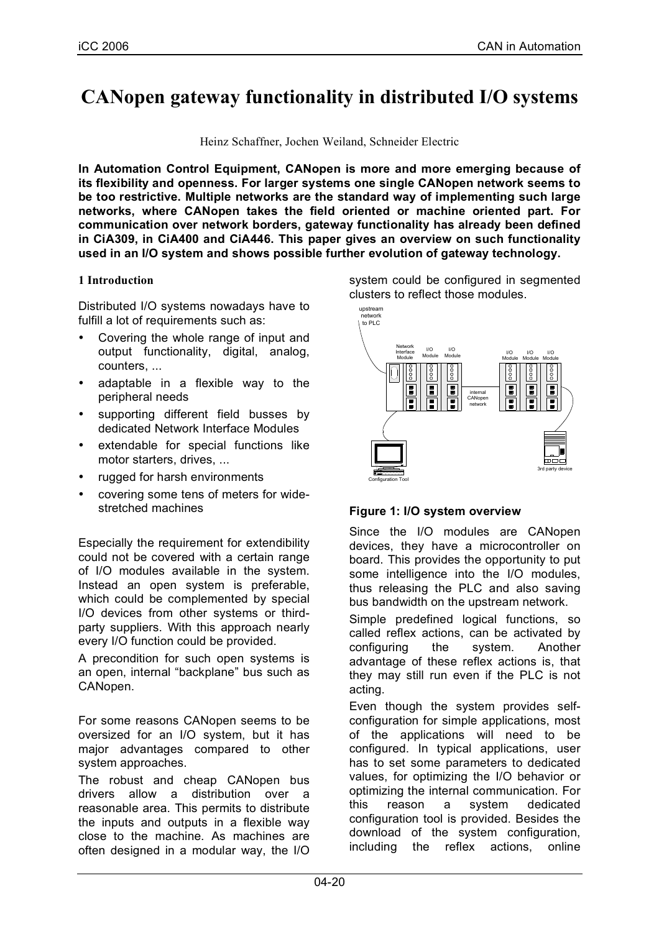# **CANopen gateway functionality in distributed I/O systems**

Heinz Schaffner, Jochen Weiland, Schneider Electric

**In Automation Control Equipment, CANopen is more and more emerging because of its flexibility and openness. For larger systems one single CANopen network seems to be too restrictive. Multiple networks are the standard way of implementing such large networks, where CANopen takes the field oriented or machine oriented part. For communication over network borders, gateway functionality has already been defined in CiA309, in CiA400 and CiA446. This paper gives an overview on such functionality used in an I/O system and shows possible further evolution of gateway technology.**

## **1 Introduction**

Distributed I/O systems nowadays have to fulfill a lot of requirements such as:

- Covering the whole range of input and output functionality, digital, analog, counters, ...
- adaptable in a flexible way to the peripheral needs
- supporting different field busses by dedicated Network Interface Modules
- extendable for special functions like motor starters, drives, ...
- rugged for harsh environments
- covering some tens of meters for widestretched machines

Especially the requirement for extendibility could not be covered with a certain range of I/O modules available in the system. Instead an open system is preferable, which could be complemented by special I/O devices from other systems or thirdparty suppliers. With this approach nearly every I/O function could be provided.

A precondition for such open systems is an open, internal "backplane" bus such as CANopen.

For some reasons CANopen seems to be oversized for an I/O system, but it has major advantages compared to other system approaches.

The robust and cheap CANopen bus drivers allow a distribution over a reasonable area. This permits to distribute the inputs and outputs in a flexible way close to the machine. As machines are often designed in a modular way, the I/O system could be configured in segmented clusters to reflect those modules.



## **Figure 1: I/O system overview**

Since the I/O modules are CANopen devices, they have a microcontroller on board. This provides the opportunity to put some intelligence into the I/O modules, thus releasing the PLC and also saving bus bandwidth on the upstream network.

Simple predefined logical functions, so called reflex actions, can be activated by configuring the system. Another advantage of these reflex actions is, that they may still run even if the PLC is not acting.

Even though the system provides selfconfiguration for simple applications, most of the applications will need to be configured. In typical applications, user has to set some parameters to dedicated values, for optimizing the I/O behavior or optimizing the internal communication. For this reason a system dedicated configuration tool is provided. Besides the download of the system configuration, including the reflex actions, online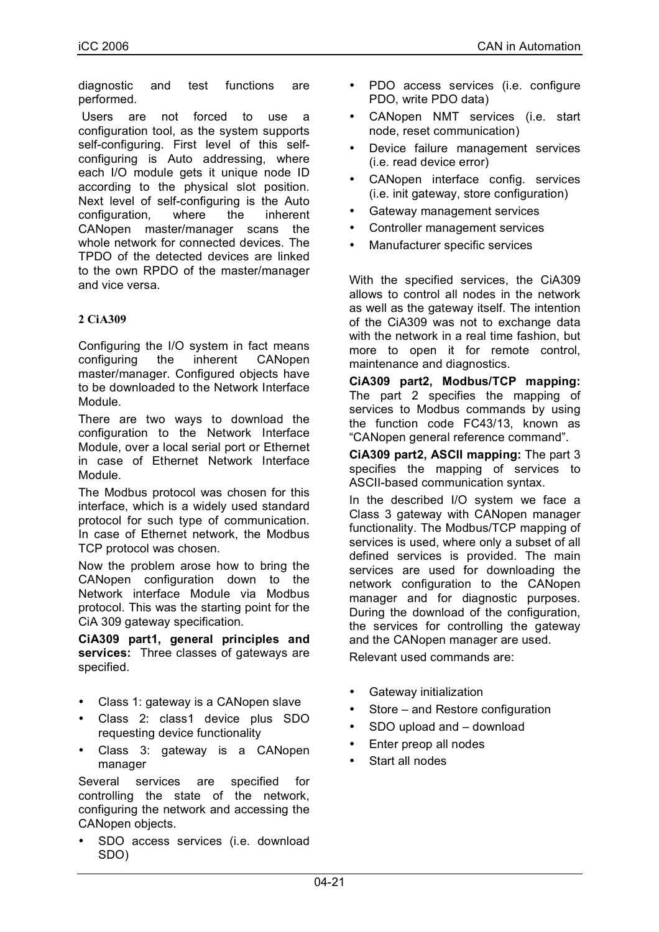diagnostic and test functions are performed.

Users are not forced to use a configuration tool, as the system supports self-configuring. First level of this selfconfiguring is Auto addressing, where each I/O module gets it unique node ID according to the physical slot position. Next level of self-configuring is the Auto configuration, where the inherent CANopen master/manager scans the whole network for connected devices. The TPDO of the detected devices are linked to the own RPDO of the master/manager and vice versa.

## **2 CiA309**

Configuring the I/O system in fact means configuring the inherent CANopen master/manager. Configured objects have to be downloaded to the Network Interface Module.

There are two ways to download the configuration to the Network Interface Module, over a local serial port or Ethernet in case of Ethernet Network Interface Module.

The Modbus protocol was chosen for this interface, which is a widely used standard protocol for such type of communication. In case of Ethernet network, the Modbus TCP protocol was chosen.

Now the problem arose how to bring the CANopen configuration down to the Network interface Module via Modbus protocol. This was the starting point for the CiA 309 gateway specification.

**CiA309 part1, general principles and services:** Three classes of gateways are specified.

- Class 1: gateway is a CANopen slave
- Class 2: class1 device plus SDO requesting device functionality
- Class 3: gateway is a CANopen manager

Several services are specified for controlling the state of the network, configuring the network and accessing the CANopen objects.

SDO access services (i.e. download SDO)

- PDO access services (i.e. configure PDO, write PDO data)
- CANopen NMT services (i.e. start node, reset communication)
- Device failure management services (i.e. read device error)
- CANopen interface config. services (i.e. init gateway, store configuration)
- Gateway management services
- Controller management services
- Manufacturer specific services

With the specified services, the CiA309 allows to control all nodes in the network as well as the gateway itself. The intention of the CiA309 was not to exchange data with the network in a real time fashion, but more to open it for remote control, maintenance and diagnostics.

**CiA309 part2, Modbus/TCP mapping:** The part 2 specifies the mapping of services to Modbus commands by using the function code FC43/13, known as "CANopen general reference command".

**CiA309 part2, ASCII mapping:** The part 3 specifies the mapping of services to ASCII-based communication syntax.

In the described I/O system we face a Class 3 gateway with CANopen manager functionality. The Modbus/TCP mapping of services is used, where only a subset of all defined services is provided. The main services are used for downloading the network configuration to the CANopen manager and for diagnostic purposes. During the download of the configuration, the services for controlling the gateway and the CANopen manager are used. Relevant used commands are:

- Gateway initialization
- Store and Restore configuration
- SDO upload and download
- Enter preop all nodes
- Start all nodes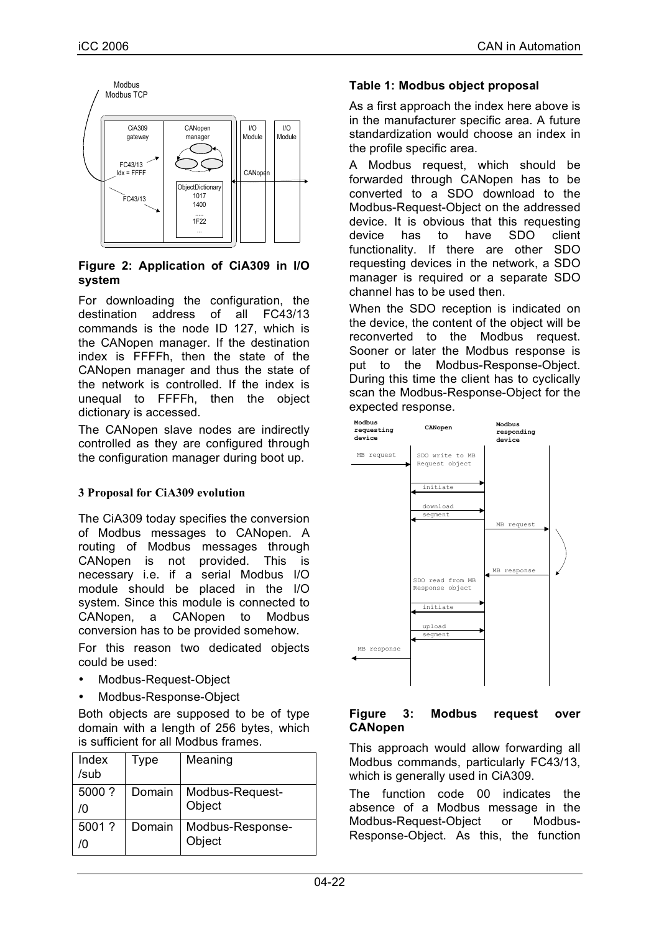

## **Figure 2: Application of CiA309 in I/O system**

For downloading the configuration, the destination address of all FC43/13 commands is the node ID 127, which is the CANopen manager. If the destination index is FFFFh, then the state of the CANopen manager and thus the state of the network is controlled. If the index is unequal to FFFFh, then the object dictionary is accessed.

The CANopen slave nodes are indirectly controlled as they are configured through the configuration manager during boot up.

# **3 Proposal for CiA309 evolution**

The CiA309 today specifies the conversion of Modbus messages to CANopen. A routing of Modbus messages through CANopen is not provided. This is necessary i.e. if a serial Modbus I/O module should be placed in the I/O system. Since this module is connected to CANopen, a CANopen to Modbus conversion has to be provided somehow.

For this reason two dedicated objects could be used:

- Modbus-Request-Object
- Modbus-Response-Object

Both objects are supposed to be of type domain with a length of 256 bytes, which is sufficient for all Modbus frames.

| Index<br>/sub | Type   | Meaning                    |
|---------------|--------|----------------------------|
| 5000 ?<br>/٨  | Domain | Modbus-Request-<br>Object  |
| 5001 ?<br>m   | Domain | Modbus-Response-<br>Object |

## **Table 1: Modbus object proposal**

As a first approach the index here above is in the manufacturer specific area. A future standardization would choose an index in the profile specific area.

A Modbus request, which should be forwarded through CANopen has to be converted to a SDO download to the Modbus-Request-Object on the addressed device. It is obvious that this requesting device has to have SDO client functionality. If there are other SDO requesting devices in the network, a SDO manager is required or a separate SDO channel has to be used then.

When the SDO reception is indicated on the device, the content of the object will be reconverted to the Modbus request. Sooner or later the Modbus response is put to the Modbus-Response-Object. During this time the client has to cyclically scan the Modbus-Response-Object for the expected response.



## **Figure 3: Modbus request over CANopen**

This approach would allow forwarding all Modbus commands, particularly FC43/13, which is generally used in CiA309.

The function code 00 indicates the absence of a Modbus message in the Modbus-Request-Object or Modbus-Response-Object. As this, the function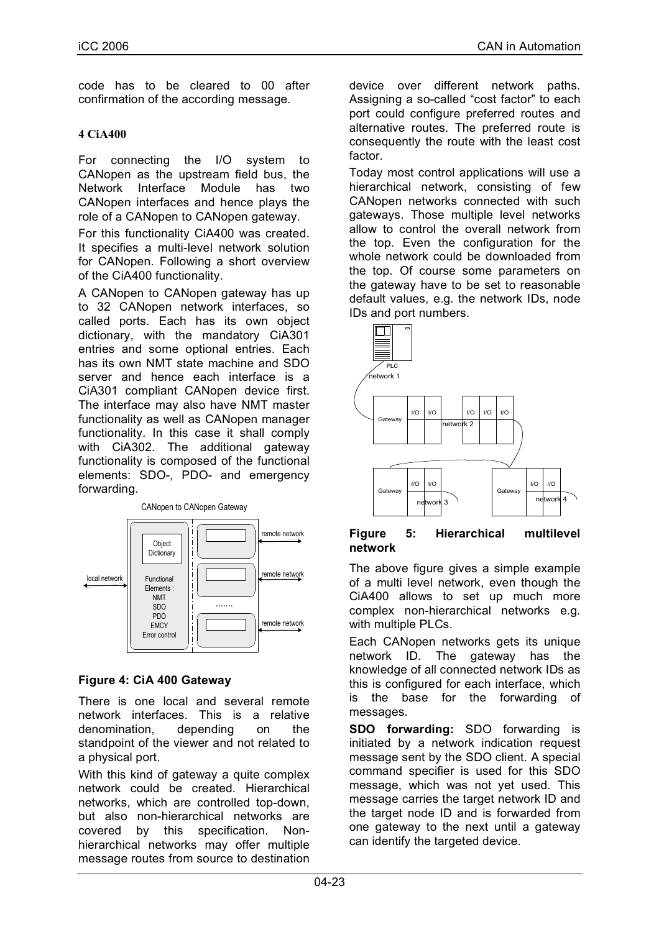code has to be cleared to 00 after confirmation of the according message.

## **4 CiA400**

For connecting the I/O system to CANopen as the upstream field bus, the Network Interface Module has two CANopen interfaces and hence plays the role of a CANopen to CANopen gateway.

For this functionality CiA400 was created. It specifies a multi-level network solution for CANopen. Following a short overview of the CiA400 functionality.

A CANopen to CANopen gateway has up to 32 CANopen network interfaces, so called ports. Each has its own object dictionary, with the mandatory CiA301 entries and some optional entries. Each has its own NMT state machine and SDO server and hence each interface is a CiA301 compliant CANopen device first. The interface may also have NMT master functionality as well as CANopen manager functionality. In this case it shall comply with CiA302. The additional gateway functionality is composed of the functional elements: SDO-, PDO- and emergency forwarding.



## **Figure 4: CiA 400 Gateway**

There is one local and several remote network interfaces. This is a relative denomination, depending on the standpoint of the viewer and not related to a physical port.

With this kind of gateway a quite complex network could be created. Hierarchical networks, which are controlled top-down, but also non-hierarchical networks are covered by this specification. Nonhierarchical networks may offer multiple message routes from source to destination

device over different network paths. Assigning a so-called "cost factor" to each port could configure preferred routes and alternative routes. The preferred route is consequently the route with the least cost factor.

Today most control applications will use a hierarchical network, consisting of few CANopen networks connected with such gateways. Those multiple level networks allow to control the overall network from the top. Even the configuration for the whole network could be downloaded from the top. Of course some parameters on the gateway have to be set to reasonable default values, e.g. the network IDs, node IDs and port numbers.



#### **Figure 5: Hierarchical multilevel network**

The above figure gives a simple example of a multi level network, even though the CiA400 allows to set up much more complex non-hierarchical networks e.g. with multiple PLCs.

Each CANopen networks gets its unique network ID. The gateway has the knowledge of all connected network IDs as this is configured for each interface, which is the base for the forwarding of messages.

**SDO forwarding:** SDO forwarding is initiated by a network indication request message sent by the SDO client. A special command specifier is used for this SDO message, which was not yet used. This message carries the target network ID and the target node ID and is forwarded from one gateway to the next until a gateway can identify the targeted device.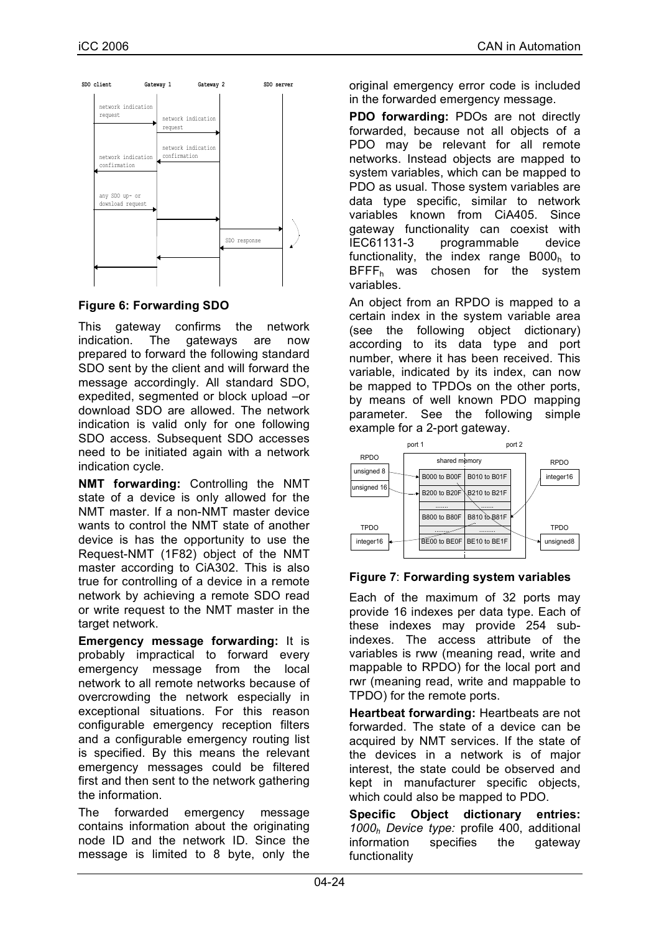

**Figure 6: Forwarding SDO**

This gateway confirms the network indication. The gateways are now prepared to forward the following standard SDO sent by the client and will forward the message accordingly. All standard SDO, expedited, segmented or block upload –or download SDO are allowed. The network indication is valid only for one following SDO access. Subsequent SDO accesses need to be initiated again with a network indication cycle.

**NMT forwarding:** Controlling the NMT state of a device is only allowed for the NMT master. If a non-NMT master device wants to control the NMT state of another device is has the opportunity to use the Request-NMT (1F82) object of the NMT master according to CiA302. This is also true for controlling of a device in a remote network by achieving a remote SDO read or write request to the NMT master in the target network.

**Emergency message forwarding:** It is probably impractical to forward every emergency message from the local network to all remote networks because of overcrowding the network especially in exceptional situations. For this reason configurable emergency reception filters and a configurable emergency routing list is specified. By this means the relevant emergency messages could be filtered first and then sent to the network gathering the information.

The forwarded emergency message contains information about the originating node ID and the network ID. Since the message is limited to 8 byte, only the original emergency error code is included in the forwarded emergency message.

**PDO forwarding:** PDOs are not directly forwarded, because not all objects of a PDO may be relevant for all remote networks. Instead objects are mapped to system variables, which can be mapped to PDO as usual. Those system variables are data type specific, similar to network variables known from CiA405. Since gateway functionality can coexist with IEC61131-3 programmable device functionality, the index range  $B000<sub>h</sub>$  to  $BFFF<sub>h</sub>$  was chosen for the system variables.

An object from an RPDO is mapped to a certain index in the system variable area (see the following object dictionary) according to its data type and port number, where it has been received. This variable, indicated by its index, can now be mapped to TPDOs on the other ports, by means of well known PDO mapping parameter. See the following simple example for a 2-port gateway.



## **Figure 7**: **Forwarding system variables**

Each of the maximum of 32 ports may provide 16 indexes per data type. Each of these indexes may provide 254 subindexes. The access attribute of the variables is rww (meaning read, write and mappable to RPDO) for the local port and rwr (meaning read, write and mappable to TPDO) for the remote ports.

**Heartbeat forwarding:** Heartbeats are not forwarded. The state of a device can be acquired by NMT services. If the state of the devices in a network is of major interest, the state could be observed and kept in manufacturer specific objects, which could also be mapped to PDO.

**Specific Object dictionary entries:** *1000h Device type:* profile 400, additional information specifies the gateway functionality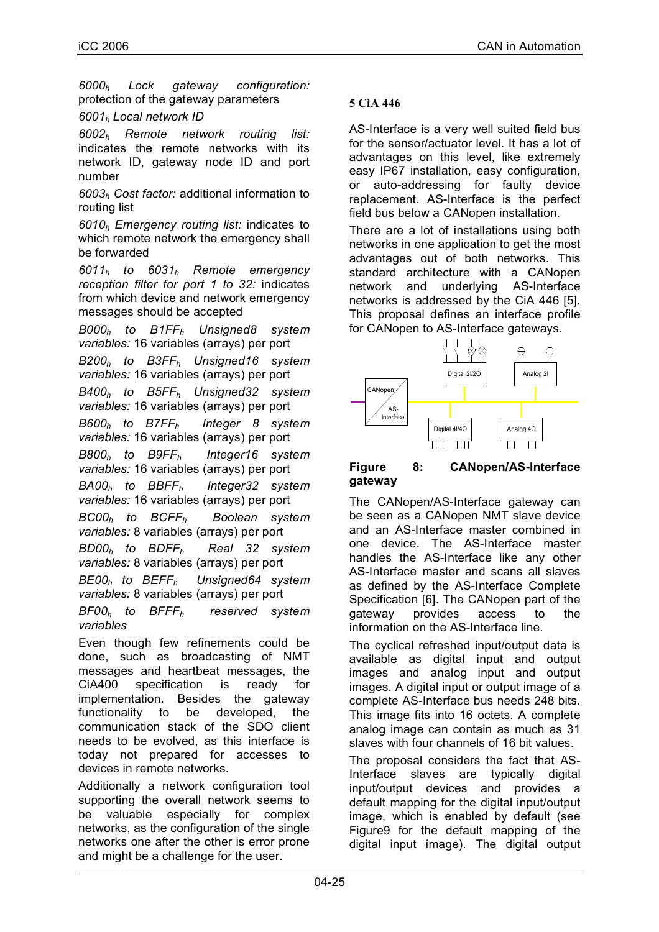*6000h Lock gateway configuration:* protection of the gateway parameters

## *6001h Local network ID*

*6002h Remote network routing list:* indicates the remote networks with its network ID, gateway node ID and port number

*6003h Cost factor:* additional information to routing list

*6010h Emergency routing list:* indicates to which remote network the emergency shall be forwarded

*6011h to 6031h Remote emergency reception filter for port 1 to 32:* indicates from which device and network emergency messages should be accepted

*B000h to B1FFh Unsigned8 system variables:* 16 variables (arrays) per port *B200h to B3FFh Unsigned16 system variables:* 16 variables (arrays) per port *B400h to B5FFh Unsigned32 system variables:* 16 variables (arrays) per port *B600h to B7FFh Integer 8 system variables:* 16 variables (arrays) per port *B800h to B9FFh Integer16 system variables:* 16 variables (arrays) per port *BA00h to BBFFh Integer32 system variables:* 16 variables (arrays) per port *BC00h to BCFFh Boolean system variables:* 8 variables (arrays) per port *BD00h to BDFFh Real 32 system variables:* 8 variables (arrays) per port *BE00h to BEFFh Unsigned64 system variables:* 8 variables (arrays) per port

*BF00h to BFFFh reserved system variables*

Even though few refinements could be done, such as broadcasting of NMT messages and heartbeat messages, the CiA400 specification is ready for implementation. Besides the gateway functionality to be developed, the communication stack of the SDO client needs to be evolved, as this interface is today not prepared for accesses to devices in remote networks.

Additionally a network configuration tool supporting the overall network seems to be valuable especially for complex networks, as the configuration of the single networks one after the other is error prone and might be a challenge for the user.

## **5 CiA 446**

AS-Interface is a very well suited field bus for the sensor/actuator level. It has a lot of advantages on this level, like extremely easy IP67 installation, easy configuration, or auto-addressing for faulty device replacement. AS-Interface is the perfect field bus below a CANopen installation.

There are a lot of installations using both networks in one application to get the most advantages out of both networks. This standard architecture with a CANopen network and underlying AS-Interface networks is addressed by the CiA 446 [5]. This proposal defines an interface profile for CANopen to AS-Interface gateways.



#### **Figure 8: CANopen/AS-Interface gateway**

The CANopen/AS-Interface gateway can be seen as a CANopen NMT slave device and an AS-Interface master combined in one device. The AS-Interface master handles the AS-Interface like any other AS-Interface master and scans all slaves as defined by the AS-Interface Complete Specification [6]. The CANopen part of the gateway provides access to the information on the AS-Interface line.

The cyclical refreshed input/output data is available as digital input and output images and analog input and output images. A digital input or output image of a complete AS-Interface bus needs 248 bits. This image fits into 16 octets. A complete analog image can contain as much as 31 slaves with four channels of 16 bit values.

The proposal considers the fact that AS-Interface slaves are typically digital input/output devices and provides a default mapping for the digital input/output image, which is enabled by default (see Figure9 for the default mapping of the digital input image). The digital output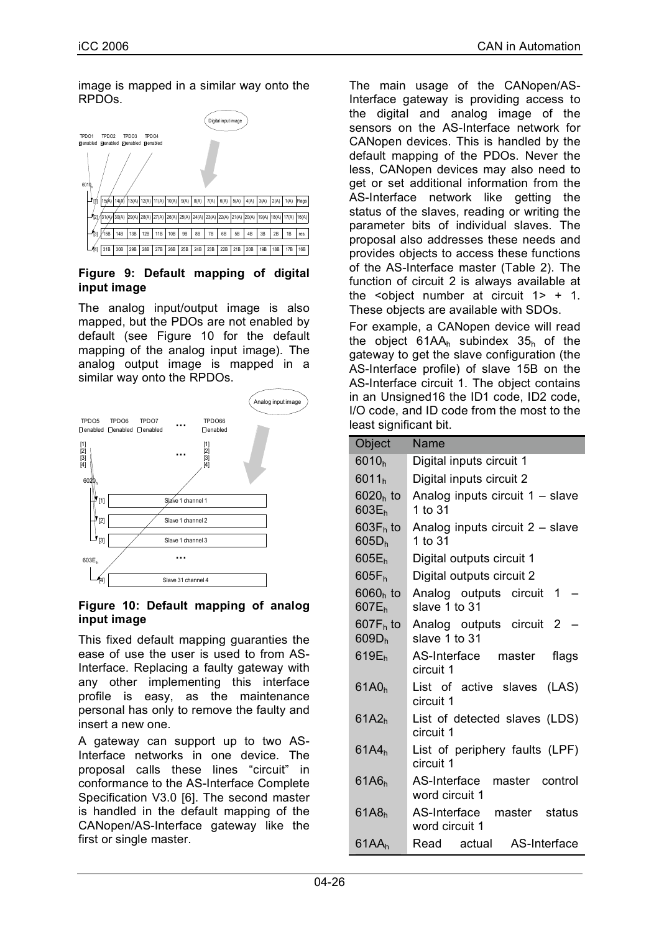image is mapped in a similar way onto the RPDOs.



#### **Figure 9: Default mapping of digital input image**

The analog input/output image is also mapped, but the PDOs are not enabled by default (see Figure 10 for the default mapping of the analog input image). The analog output image is mapped in a similar way onto the RPDOs.



## **Figure 10: Default mapping of analog input image**

This fixed default mapping guaranties the ease of use the user is used to from AS-Interface. Replacing a faulty gateway with any other implementing this interface profile is easy, as the maintenance personal has only to remove the faulty and insert a new one.

A gateway can support up to two AS-Interface networks in one device. The proposal calls these lines "circuit" in conformance to the AS-Interface Complete Specification V3.0 [6]. The second master is handled in the default mapping of the CANopen/AS-Interface gateway like the first or single master.

The main usage of the CANopen/AS-Interface gateway is providing access to the digital and analog image of the sensors on the AS-Interface network for CANopen devices. This is handled by the default mapping of the PDOs. Never the less, CANopen devices may also need to get or set additional information from the AS-Interface network like getting the status of the slaves, reading or writing the parameter bits of individual slaves. The proposal also addresses these needs and provides objects to access these functions of the AS-Interface master (Table 2). The function of circuit 2 is always available at the  $\leq$  object number at circuit  $1$  + 1. These objects are available with SDOs.

For example, a CANopen device will read the object  $61AA_h$  subindex  $35_h$  of the gateway to get the slave configuration (the AS-Interface profile) of slave 15B on the AS-Interface circuit 1. The object contains in an Unsigned16 the ID1 code, ID2 code, I/O code, and ID code from the most to the least significant bit.

| Object                           | Name                                          |
|----------------------------------|-----------------------------------------------|
| 6010 <sub>h</sub>                | Digital inputs circuit 1                      |
| 6011 <sub>h</sub>                | Digital inputs circuit 2                      |
| $6020h$ to<br>603E <sub>h</sub>  | Analog inputs circuit 1 - slave<br>1 to 31    |
| $603F_h$ to<br>605D <sub>h</sub> | Analog inputs circuit 2 - slave<br>1 to 31    |
| $605E_h$                         | Digital outputs circuit 1                     |
| $605F_h$                         | Digital outputs circuit 2                     |
| $6060h$ to<br>$607E_h$           | Analog outputs circuit 1<br>slave 1 to 31     |
| $607F_h$ to<br>609D <sub>h</sub> | Analog outputs circuit 2<br>slave 1 to 31     |
| 619E <sub>h</sub>                | AS-Interface master<br>flags<br>circuit 1     |
| 61A0 <sub>h</sub>                | List of active slaves (LAS)<br>circuit 1      |
| 61A2 <sub>h</sub>                | List of detected slaves (LDS)<br>circuit 1    |
| 61A4 <sub>h</sub>                | List of periphery faults (LPF)<br>circuit 1   |
| 61A6 <sub>h</sub>                | AS-Interface master control<br>word circuit 1 |
| 61A8 <sub>h</sub>                | AS-Interface master status<br>word circuit 1  |
| 61AA <sub>h</sub>                | Read actual AS-Interface                      |